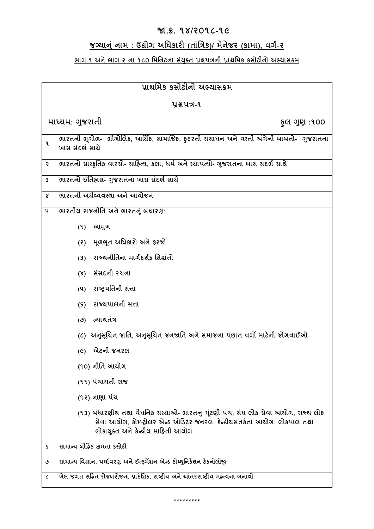# **જા.ક્ર. ૧૪/૨૦૧૮-૧૯**

# **જગ્યાનું નામ : ઉદ્યોગ અધિકારી (તાધુંિક)/ મેનેજર (કામા), વગગ-૨**

## **ભાગ-૧ અનેભાગ-૨ ના ૧૮૦ ધમધનટના સયું ક્ ત પ્રશ્નપિની પ્રાથધમક કસોટીનો અભ્યાસક્રમ**

| પ્રાથમિક કસોટીનો અભ્યાસક્રમ |                                                                                                                                                                                                         |  |
|-----------------------------|---------------------------------------------------------------------------------------------------------------------------------------------------------------------------------------------------------|--|
| પ્રશ્નપત્ર-૧                |                                                                                                                                                                                                         |  |
|                             | માધ્યમ: ગુજરાતી<br>કૂલ ગુણ :૧૦૦                                                                                                                                                                         |  |
| ঀ                           | ભારતની ભૂગોળ-  ભૌગોલિક, આર્થિક, સામાજિક, કુદરતી સંસાધન અને વસ્તી અંગેની બાબતો-  ગુજરાતના<br>ખાસ સંદર્ભ સાથે                                                                                             |  |
| ę                           | ભારતનો સાંસ્કૃતિક વારસો- સાહિત્ય, કલા, ધર્મ અને સ્થાપત્યો- ગુજરાતના ખાસ સંદર્ભ સાથે                                                                                                                     |  |
| 3                           | ભારતનો ઈતિહ્રાસ- ગુજરાતના ખાસ સંદર્ભ સાથે                                                                                                                                                               |  |
| Χ                           | ભારતની અર્થવ્યવસ્થા અને આયોજન                                                                                                                                                                           |  |
| ૫                           | <u>ભારતીય રાજનીતિ અને ભારતનું બંધારણઃ</u>                                                                                                                                                               |  |
|                             | (૧) આમુખ                                                                                                                                                                                                |  |
|                             | (૨) મૂળભૂત અધિકારો અને ફરજો                                                                                                                                                                             |  |
|                             | રાજ્યનીતિના માર્ગદર્શક સિદ્ધાંતો<br>(3)                                                                                                                                                                 |  |
|                             | (४) સંસદની રચના                                                                                                                                                                                         |  |
|                             | (૫) રાષ્ટ્રપતિની સત્તા                                                                                                                                                                                  |  |
|                             | (૬) રાજ્યપાલની સત્તા                                                                                                                                                                                    |  |
|                             | (૭) ન્યાયતંત્ર                                                                                                                                                                                          |  |
|                             | (૮) અનુસૂચિત જાતિ, અનુસૂચિત જનજાતિ અને સમાજના પછાત વર્ગો માટેની જોગવાઈઓ                                                                                                                                 |  |
|                             | એટર્ની જનરલ<br>$(\epsilon)$                                                                                                                                                                             |  |
|                             | (૧૦) નીતિ આયોગ                                                                                                                                                                                          |  |
|                             | (૧૧) પંચાયતી રાજ                                                                                                                                                                                        |  |
|                             | (૧૨) નાણા પંચ                                                                                                                                                                                           |  |
|                             | (૧૩) બંધારણીય તથા વૈધનિક સંસ્થાઓ- ભારતનું યુંટણી પંચ, સંઘ લોક સેવા આયોગ, રાજ્ય લોક<br>સેવા આયોગ, કોમ્પ્ટ્રોલર એન્ડ ઓડિટર જનરલ; કેન્દ્રીયસતર્કતા આયોગ, લોકપાલ તથા<br>લોકાયુક્ત અને કેન્દ્રીય માહિતી આયોગ |  |
| ς                           | સામાન્ય બૌદ્ધિક ક્ષમતા કસોટી                                                                                                                                                                            |  |
| ৩                           | સામાન્ય વિજ્ઞાન, પર્યાવરણ અને ઈન્ફર્મેશન એન્ડ કોમ્યુનિકેશન ટેકનોલોજી                                                                                                                                    |  |
| L                           | ખેલ જગત સહિત રોજબરોજના પ્રાદેશિક, રાષ્ટ્રીય અને આંતરરાષ્ટ્રીય મહ્ત્વના બનાવો                                                                                                                            |  |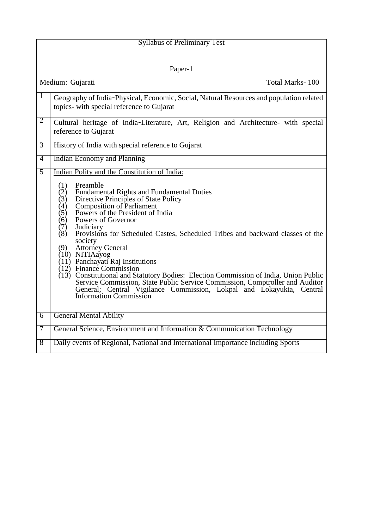| <b>Syllabus of Preliminary Test</b> |                                                                                                                                                                                                                                                                                                                                                                                                                                                                                                                                                                                                                                                                                                                                                                                                                        |  |
|-------------------------------------|------------------------------------------------------------------------------------------------------------------------------------------------------------------------------------------------------------------------------------------------------------------------------------------------------------------------------------------------------------------------------------------------------------------------------------------------------------------------------------------------------------------------------------------------------------------------------------------------------------------------------------------------------------------------------------------------------------------------------------------------------------------------------------------------------------------------|--|
|                                     |                                                                                                                                                                                                                                                                                                                                                                                                                                                                                                                                                                                                                                                                                                                                                                                                                        |  |
| Paper-1                             |                                                                                                                                                                                                                                                                                                                                                                                                                                                                                                                                                                                                                                                                                                                                                                                                                        |  |
|                                     | Medium: Gujarati<br>Total Marks-100                                                                                                                                                                                                                                                                                                                                                                                                                                                                                                                                                                                                                                                                                                                                                                                    |  |
| 1                                   | Geography of India-Physical, Economic, Social, Natural Resources and population related<br>topics- with special reference to Gujarat                                                                                                                                                                                                                                                                                                                                                                                                                                                                                                                                                                                                                                                                                   |  |
| $\overline{2}$                      | Cultural heritage of India-Literature, Art, Religion and Architecture- with special<br>reference to Gujarat                                                                                                                                                                                                                                                                                                                                                                                                                                                                                                                                                                                                                                                                                                            |  |
| $\overline{3}$                      | History of India with special reference to Gujarat                                                                                                                                                                                                                                                                                                                                                                                                                                                                                                                                                                                                                                                                                                                                                                     |  |
| $\overline{4}$                      | <b>Indian Economy and Planning</b>                                                                                                                                                                                                                                                                                                                                                                                                                                                                                                                                                                                                                                                                                                                                                                                     |  |
| 5                                   | Indian Polity and the Constitution of India:<br>Preamble<br>(1)<br>(2)<br><b>Fundamental Rights and Fundamental Duties</b><br>Directive Principles of State Policy<br>(3)<br><b>Composition of Parliament</b><br>(4)<br>Powers of the President of India<br>(5)<br>Powers of Governor<br>(6)<br>Judiciary<br>(7)<br>Provisions for Scheduled Castes, Scheduled Tribes and backward classes of the<br>(8)<br>society<br><b>Attorney General</b><br>(9)<br>$(10)$ NITIAayog<br>$(11)$ Panchayati Raj Institutions<br>$(12)$ Finance Commission<br>(13) Constitutional and Statutory Bodies: Election Commission of India, Union Public<br>Service Commission, State Public Service Commission, Comptroller and Auditor<br>General; Central Vigilance Commission, Lokpal and Lokayukta, Central<br>Information Commission |  |
| $\overline{6}$                      | <b>General Mental Ability</b>                                                                                                                                                                                                                                                                                                                                                                                                                                                                                                                                                                                                                                                                                                                                                                                          |  |
| 7                                   | General Science, Environment and Information & Communication Technology                                                                                                                                                                                                                                                                                                                                                                                                                                                                                                                                                                                                                                                                                                                                                |  |
| $\overline{8}$                      | Daily events of Regional, National and International Importance including Sports                                                                                                                                                                                                                                                                                                                                                                                                                                                                                                                                                                                                                                                                                                                                       |  |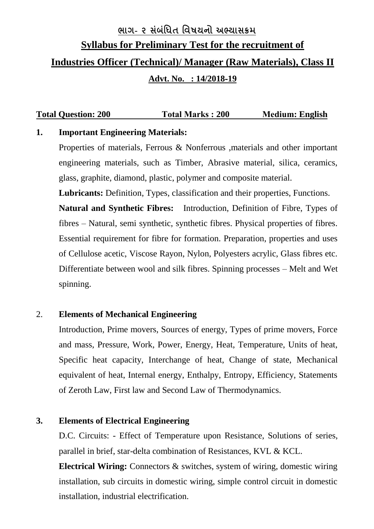# **ભાગ- ૨ સુંબુંધિત ધવષયનો અભ્યાસક્રમ Syllabus for Preliminary Test for the recruitment of Industries Officer (Technical)/ Manager (Raw Materials), Class II Advt. No. : 14/2018-19**

## **Total Question: 200 Total Marks : 200 Medium: English**

#### **1. Important Engineering Materials:**

Properties of materials, Ferrous & Nonferrous ,materials and other important engineering materials, such as Timber, Abrasive material, silica, ceramics, glass, graphite, diamond, plastic, polymer and composite material.

**Lubricants:** Definition, Types, classification and their properties, Functions. **Natural and Synthetic Fibres:** Introduction, Definition of Fibre, Types of fibres – Natural, semi synthetic, synthetic fibres. Physical properties of fibres. Essential requirement for fibre for formation. Preparation, properties and uses of Cellulose acetic, Viscose Rayon, Nylon, Polyesters acrylic, Glass fibres etc. Differentiate between wool and silk fibres. Spinning processes – Melt and Wet spinning.

#### 2. **Elements of Mechanical Engineering**

Introduction, Prime movers, Sources of energy, Types of prime movers, Force and mass, Pressure, Work, Power, Energy, Heat, Temperature, Units of heat, Specific heat capacity, Interchange of heat, Change of state, Mechanical equivalent of heat, Internal energy, Enthalpy, Entropy, Efficiency, Statements of Zeroth Law, First law and Second Law of Thermodynamics.

#### **3. Elements of Electrical Engineering**

D.C. Circuits: - Effect of Temperature upon Resistance, Solutions of series, parallel in brief, star-delta combination of Resistances, KVL & KCL.

**Electrical Wiring:** Connectors & switches, system of wiring, domestic wiring installation, sub circuits in domestic wiring, simple control circuit in domestic installation, industrial electrification.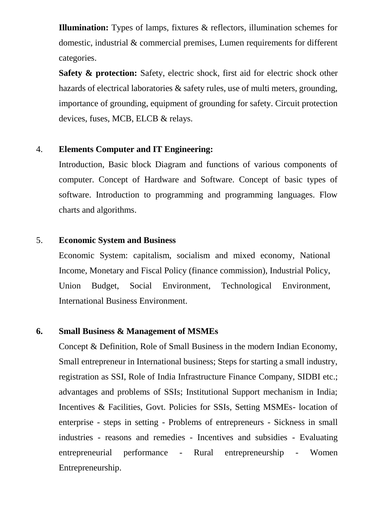**Illumination:** Types of lamps, fixtures & reflectors, illumination schemes for domestic, industrial & commercial premises, Lumen requirements for different categories.

**Safety & protection:** Safety, electric shock, first aid for electric shock other hazards of electrical laboratories & safety rules, use of multi meters, grounding, importance of grounding, equipment of grounding for safety. Circuit protection devices, fuses, MCB, ELCB & relays.

#### 4. **Elements Computer and IT Engineering:**

Introduction, Basic block Diagram and functions of various components of computer. Concept of Hardware and Software. Concept of basic types of software. Introduction to programming and programming languages. Flow charts and algorithms.

#### 5. **Economic System and Business**

Economic System: capitalism, socialism and mixed economy, National Income, Monetary and Fiscal Policy (finance commission), Industrial Policy, Union Budget, Social Environment, Technological Environment, International Business Environment.

#### **6. Small Business & Management of MSMEs**

Concept & Definition, Role of Small Business in the modern Indian Economy, Small entrepreneur in International business; Steps for starting a small industry, registration as SSI, Role of India Infrastructure Finance Company, SIDBI etc.; advantages and problems of SSIs; Institutional Support mechanism in India; Incentives & Facilities, Govt. Policies for SSIs, Setting MSMEs- location of enterprise - steps in setting - Problems of entrepreneurs - Sickness in small industries - reasons and remedies - Incentives and subsidies - Evaluating entrepreneurial performance - Rural entrepreneurship - Women Entrepreneurship.